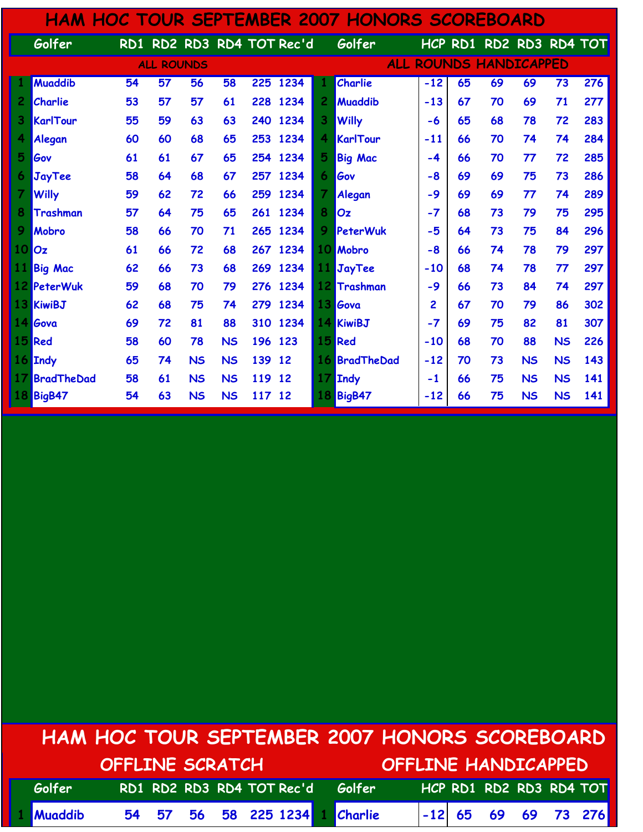|                 |                 |    |                   |           |           |         |                           |                                         | HAM HOC TOUR SEPTEMBER 2007 HONORS SCOREBOARD |       |         |    |                 |           |     |
|-----------------|-----------------|----|-------------------|-----------|-----------|---------|---------------------------|-----------------------------------------|-----------------------------------------------|-------|---------|----|-----------------|-----------|-----|
|                 | Golfer          |    |                   |           |           |         | RD1 RD2 RD3 RD4 TOT Rec'd |                                         | Golfer                                        |       | HCP RD1 |    | RD2 RD3 RD4 TOT |           |     |
|                 |                 |    | <b>ALL ROUNDS</b> |           |           |         |                           | <b>ROUNDS HANDICAPPED</b><br><b>ALL</b> |                                               |       |         |    |                 |           |     |
|                 | <b>Muaddib</b>  | 54 | 57                | 56        | 58        |         | 225 1234                  |                                         | Charlie                                       | $-12$ | 65      | 69 | 69              | 73        | 276 |
| $\overline{c}$  | Charlie         | 53 | 57                | 57        | 61        |         | 228 1234                  | $\overline{c}$                          | <b>Muaddib</b>                                | $-13$ | 67      | 70 | 69              | 71        | 277 |
| 3               | KarlTour        | 55 | 59                | 63        | 63        | 240     | 1234                      | 3                                       | <b>Willy</b>                                  | -6    | 65      | 68 | 78              | 72        | 283 |
| 4               | Alegan          | 60 | 60                | 68        | 65        | 253     | 1234                      | 4                                       | KarlTour                                      | $-11$ | 66      | 70 | 74              | 74        | 284 |
| 5               | Gov             | 61 | 61                | 67        | 65        |         | 254 1234                  | 5                                       | <b>Big Mac</b>                                | $-4$  | 66      | 70 | 77              | 72        | 285 |
| 6               | JayTee          | 58 | 64                | 68        | 67        |         | 257 1234                  | 6.                                      | Gov                                           | $-8$  | 69      | 69 | 75              | 73        | 286 |
| $\overline{7}$  | <b>Willy</b>    | 59 | 62                | 72        | 66        | 259     | 1234                      | 7                                       | Alegan                                        | $-9$  | 69      | 69 | 77              | 74        | 289 |
| 8               | <b>Trashman</b> | 57 | 64                | 75        | 65        |         | 261 1234                  | 8                                       | Oz                                            | $-7$  | 68      | 73 | 79              | 75        | 295 |
| 9               | Mobro           | 58 | 66                | 70        | 71        | 265     | 1234                      | 9                                       | PeterWuk                                      | -5    | 64      | 73 | 75              | 84        | 296 |
| 10 <sub>l</sub> | loz             | 61 | 66                | 72        | 68        |         | 267 1234                  | 10                                      | <b>Mobro</b>                                  | $-8$  | 66      | 74 | 78              | 79        | 297 |
| 11              | <b>Big Mac</b>  | 62 | 66                | 73        | 68        | 269     | 1234                      | 11                                      | JayTee                                        | -10   | 68      | 74 | 78              | 77        | 297 |
|                 | 12 PeterWuk     | 59 | 68                | 70        | 79        | 276     | 1234                      |                                         | 12 Trashman                                   | $-9$  | 66      | 73 | 84              | 74        | 297 |
|                 | 13 KiwiBJ       | 62 | 68                | 75        | 74        |         | 279 1234                  |                                         | 13 Gova                                       | 2     | 67      | 70 | 79              | 86        | 302 |
|                 | 14 Gova         | 69 | 72                | 81        | 88        | 310     | 1234                      |                                         | 14 KiwiBJ                                     | $-7$  | 69      | 75 | 82              | 81        | 307 |
|                 | 15 Red          | 58 | 60                | 78        | <b>NS</b> | 196 123 |                           | 15                                      | Red                                           | $-10$ | 68      | 70 | 88              | <b>NS</b> | 226 |
|                 | 16 Indy         | 65 | 74                | <b>NS</b> | <b>NS</b> | 139     | 12                        | 16                                      | BradTheDad                                    | $-12$ | 70      | 73 | <b>NS</b>       | <b>NS</b> | 143 |
| 17              | BradTheDad      | 58 | 61                | <b>NS</b> | <b>NS</b> | 119     | 12                        | 17                                      | Indy                                          | $-1$  | 66      | 75 | <b>NS</b>       | <b>NS</b> | 141 |
| 18              | BigB47          | 54 | 63                | <b>NS</b> | <b>NS</b> | 117 12  |                           | 18                                      | <b>BigB47</b>                                 | $-12$ | 66      | 75 | <b>NS</b>       | <b>NS</b> | 141 |

## HAM HOC TOUR SEPTEMBER 2007 HONORS SCOREBOARD OFFLINE SCRATCH OFFLINE HANDICAPPED

| Golfer    |  |  |  | RD1 RD2 RD3 RD4 TOT Rec'd Golfer |  |  | HCP RD1 RD2 RD3 RD4 TOT |
|-----------|--|--|--|----------------------------------|--|--|-------------------------|
| 1 Muaddib |  |  |  | 54 57 56 58 225 1234 1 Charlie   |  |  |                         |